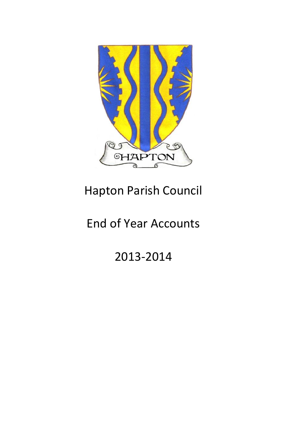

# Hapton Parish Council

## End of Year Accounts

2013-2014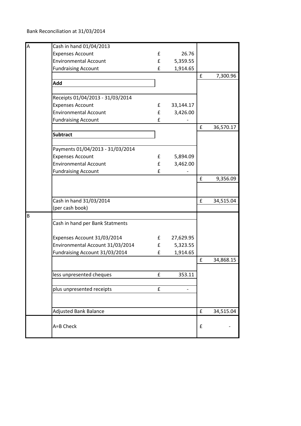Bank Reconciliation at 31/03/2014

| A | Cash in hand 01/04/2013          |             |           |                    |           |
|---|----------------------------------|-------------|-----------|--------------------|-----------|
|   | <b>Expenses Account</b>          | £           | 26.76     |                    |           |
|   | <b>Environmental Account</b>     | £           | 5,359.55  |                    |           |
|   | <b>Fundraising Account</b>       | £           | 1,914.65  |                    |           |
|   |                                  |             |           | $\pmb{\mathsf{f}}$ | 7,300.96  |
|   | Add                              |             |           |                    |           |
|   |                                  |             |           |                    |           |
|   | Receipts 01/04/2013 - 31/03/2014 |             |           |                    |           |
|   | <b>Expenses Account</b>          | £           | 33,144.17 |                    |           |
|   | <b>Environmental Account</b>     | £           | 3,426.00  |                    |           |
|   | <b>Fundraising Account</b>       | £           |           |                    |           |
|   |                                  |             |           | £                  | 36,570.17 |
|   | <b>Subtract</b>                  |             |           |                    |           |
|   |                                  |             |           |                    |           |
|   | Payments 01/04/2013 - 31/03/2014 |             |           |                    |           |
|   | <b>Expenses Account</b>          | £           | 5,894.09  |                    |           |
|   | <b>Environmental Account</b>     | £           | 3,462.00  |                    |           |
|   | <b>Fundraising Account</b>       | £           |           |                    |           |
|   |                                  |             |           | £                  | 9,356.09  |
|   |                                  |             |           |                    |           |
|   |                                  |             |           |                    |           |
|   | Cash in hand 31/03/2014          |             |           | £                  | 34,515.04 |
|   | (per cash book)                  |             |           |                    |           |
| B |                                  |             |           |                    |           |
|   | Cash in hand per Bank Statments  |             |           |                    |           |
|   |                                  |             |           |                    |           |
|   | Expenses Account 31/03/2014      | $f_{\rm{}}$ | 27,629.95 |                    |           |
|   | Environmental Account 31/03/2014 | £           | 5,323.55  |                    |           |
|   | Fundraising Account 31/03/2014   | £           | 1,914.65  |                    |           |
|   |                                  |             |           | $\pmb{\mathsf{f}}$ | 34,868.15 |
|   |                                  |             |           |                    |           |
|   | less unpresented cheques         | £           | 353.11    |                    |           |
|   |                                  |             |           |                    |           |
|   | plus unpresented receipts        | £           |           |                    |           |
|   |                                  |             |           |                    |           |
|   |                                  |             |           |                    |           |
|   | <b>Adjusted Bank Balance</b>     |             |           | $\pmb{\mathsf{f}}$ | 34,515.04 |
|   |                                  |             |           |                    |           |
|   | A=B Check                        |             |           | £                  |           |
|   |                                  |             |           |                    |           |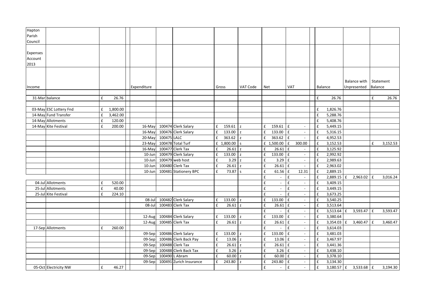| Hapton<br>Parish    |                        |                    |          |             |             |                         |   |                  |                |              |                          |                    |                           |                    |              |   |                             |                    |           |
|---------------------|------------------------|--------------------|----------|-------------|-------------|-------------------------|---|------------------|----------------|--------------|--------------------------|--------------------|---------------------------|--------------------|--------------|---|-----------------------------|--------------------|-----------|
| Council             |                        |                    |          |             |             |                         |   |                  |                |              |                          |                    |                           |                    |              |   |                             |                    |           |
| Expenses<br>Account |                        |                    |          |             |             |                         |   |                  |                |              |                          |                    |                           |                    |              |   |                             |                    |           |
| 2013                |                        |                    |          |             |             |                         |   |                  |                |              |                          |                    |                           |                    |              |   |                             |                    |           |
| Income              |                        |                    |          | Expenditure |             |                         |   | Gross            | VAT Code       | Net          |                          | VAT                |                           | Balance            |              |   | Balance with<br>Unpresented | <b>Balance</b>     | Statement |
|                     |                        | £                  | 26.76    |             |             |                         |   |                  |                |              |                          |                    |                           | £                  | 26.76        |   |                             | $\pmb{\mathsf{f}}$ | 26.76     |
|                     | 31-Mar balance         |                    |          |             |             |                         |   |                  |                |              |                          |                    |                           |                    |              |   |                             |                    |           |
|                     | 03-May ESC Lottery Fnd | £                  | 1,800.00 |             |             |                         |   |                  |                |              |                          |                    |                           | $\pmb{\mathsf{f}}$ | 1,826.76     |   |                             |                    |           |
|                     | 14-May Fund Transfer   | £                  | 3,462.00 |             |             |                         |   |                  |                |              |                          |                    |                           | $\pmb{\mathsf{f}}$ | 5,288.76     |   |                             |                    |           |
|                     | 14-May Allotments      | $\pmb{\mathsf{f}}$ | 120.00   |             |             |                         |   |                  |                |              |                          |                    |                           | £                  | 5,408.76     |   |                             |                    |           |
|                     | 14-May Kite Festival   | £                  | 200.00   | 16-May      |             | 100474 Clerk Salary     | £ | $159.61$ z       |                | £            | 159.61 $ f $             |                    | $\sim$                    | $\pmb{\mathsf{f}}$ | 5,449.15     |   |                             |                    |           |
|                     |                        |                    |          | 16-May      |             | 100476 Clerk Salary     | £ | 133.00           | $\mathsf{z}$   |              | 133.00                   | E                  | $\blacksquare$            | $\pmb{\mathsf{f}}$ | 5,316.15     |   |                             |                    |           |
|                     |                        |                    |          | 20-May      | 100475 LALC |                         | £ | 363.62           | $\mathbf{Z}$   |              | 363.62                   | E                  | $\sim$                    | £                  | 4,952.53     |   |                             |                    |           |
|                     |                        |                    |          | $23-May$    |             | 100478 Total Turf       |   | £ 1,800.00       | $\mathsf{s}$   |              | £ 1,500.00               | $\pounds$          | 300.00                    | £                  | 3,152.53     |   |                             | £                  | 3,152.53  |
|                     |                        |                    |          | 16-May      |             | 100477 Clerk Tax        | f | $26.61$ z        |                | $\mathbf f$  | 26.61                    | Ι£                 | $\overline{\phantom{a}}$  | $\pmb{\mathsf{f}}$ | 3,125.92     |   |                             |                    |           |
|                     |                        |                    |          | 10-Jun      |             | 100479 Clerk Salary     | £ | $133.00$ z       |                | £            | 133.00                   | l £                | $\overline{\phantom{a}}$  | $\pmb{\mathsf{f}}$ | 2,992.92     |   |                             |                    |           |
|                     |                        |                    |          | 10-Jun      |             | $100479$ web host       | £ | 3.29             | $\mathsf{z}$   | f            | 3.29                     | $\pmb{\mathsf{f}}$ | $\sim$                    | $\pmb{\mathsf{f}}$ | 2,989.63     |   |                             |                    |           |
|                     |                        |                    |          | 10-Jun      |             | 100480 Clerk Tax        | £ | 26.61            | $\overline{z}$ | £            | 26.61                    | $\mathbf{f}$       | $\overline{\phantom{a}}$  | $\mathbf f$        | 2,963.02     |   |                             |                    |           |
|                     |                        |                    |          | 10-Jun      |             | 100481 Stationery BPC   | £ | 73.87 s          |                | £            | 61.56                    | $\mathbf f$        | 12.31                     | $\pmb{\mathsf{f}}$ | 2,889.15     |   |                             |                    |           |
|                     |                        |                    |          |             |             |                         |   |                  |                | £            | $\overline{\phantom{a}}$ | $\pmb{\mathsf{f}}$ | $\overline{\phantom{a}}$  | $\pmb{\mathsf{f}}$ | $2,889.15$ £ |   | 2,963.02                    | $\mathbf{f}$       | 3,016.24  |
|                     | 04-Jul Allotments      | £                  | 520.00   |             |             |                         |   |                  |                | £            | $\blacksquare$           | £                  | $\sim$                    | $\pmb{\mathsf{f}}$ | 3,409.15     |   |                             |                    |           |
|                     | 25-Jul Allotments      | £                  | 40.00    |             |             |                         |   |                  |                | f            | $\overline{\phantom{a}}$ | £                  | $\sim$                    | $\pmb{\mathsf{f}}$ | 3,449.15     |   |                             |                    |           |
|                     | 25-Jul Kite Festival   | £                  | 224.10   |             |             |                         |   |                  |                | f            |                          | £                  | $\blacksquare$            | $\pmb{\mathsf{f}}$ | 3,673.25     |   |                             |                    |           |
|                     |                        |                    |          | 08-Jul      |             | 100482 Clerk Salary     | £ | 133.00 z         |                | £            | 133.00                   | $\pmb{\mathsf{f}}$ | $\overline{\phantom{a}}$  | £                  | 3,540.25     |   |                             |                    |           |
|                     |                        |                    |          | 08-Jul      |             | 100483 Clerk Tax        | f | $26.61$ z        |                | f            | 26.61                    | $\pmb{\mathsf{f}}$ | $\overline{\phantom{a}}$  | £                  | 3,513.64     |   |                             |                    |           |
|                     |                        |                    |          |             |             |                         |   |                  |                | £            |                          | £                  | $\sim$                    | £                  | 3,513.64     | f | 3,593.47                    | $\mathbf{f}$       | 3,593.47  |
|                     |                        |                    |          | 12-Aug      |             | 100484 Clerk Salary     | £ | 133.00 z         |                | £            | 133.00                   | £                  | $\overline{\phantom{a}}$  | $\pmb{\mathsf{f}}$ | 3,380.64     |   |                             |                    |           |
|                     |                        |                    |          | 12-Aug      |             | 100485 Clerk Tax        | £ | $26.61$ z        |                |              | 26.61                    | $\mathbf f$        | $\sim$                    | $\pmb{\mathsf{f}}$ | 3,354.03     | £ | 3,460.47                    | f                  | 3,460.47  |
|                     | 17-Sep Allotments      | £                  | 260.00   |             |             |                         |   |                  |                | £            |                          | £                  | $\mathbb{Z}^{\mathbb{Z}}$ | $\pmb{\mathsf{f}}$ | 3,614.03     |   |                             |                    |           |
|                     |                        |                    |          | 09-Sep      |             | 100486 Clerk Salary     | £ | 133.00           | z              | $\mathbf{f}$ | 133.00                   | $\pmb{\mathsf{f}}$ | $\sim$                    | $\pmb{\mathsf{f}}$ | 3,481.03     |   |                             |                    |           |
|                     |                        |                    |          | 09-Sep      |             | 100486 Clerk Back Pay   | £ | $13.06$ z        |                | £            | 13.06 £                  |                    | $\overline{\phantom{a}}$  | $\pmb{\mathsf{f}}$ | 3,467.97     |   |                             |                    |           |
|                     |                        |                    |          | 09-Sep      |             | 100488 Clerk Tax        | £ | 26.61            | $\overline{z}$ | $\mathbf{f}$ | 26.61                    | Ι£                 |                           | £                  | 3,441.36     |   |                             |                    |           |
|                     |                        |                    |          | 09-Sep      |             | 100488 Clerk Back Tax   | £ | 3.26 z           |                | £            | $3.26 \mid f$            |                    | $\sim$                    | $\pmb{\mathsf{f}}$ | 3,438.10     |   |                             |                    |           |
|                     |                        |                    |          | 09-Sep      |             | 100490 L Abram          | f | $60.00\text{ z}$ |                |              | 60.00                    | l £                | $\overline{\phantom{a}}$  | £                  | 3,378.10     |   |                             |                    |           |
|                     |                        |                    |          | 09-Sep      |             | 100491 Zurich Insurance | f | 243.80           | $\overline{z}$ | f            | 243.80                   | $\pmb{\mathsf{f}}$ | $\sim$                    | $\pmb{\mathsf{f}}$ | 3,134.30     |   |                             |                    |           |
|                     | 05-Oct Electricity NW  | £                  | 46.27    |             |             |                         |   |                  |                | £            |                          | $\pmb{\mathsf{f}}$ | $\sim$                    | $\pmb{\mathsf{f}}$ | $3,180.57$ £ |   | $3,533.68$ £                |                    | 3,194.30  |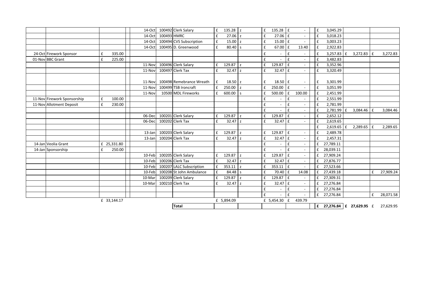|                             |   |             | 14-Oct    |             | 100492 Clerk Salary      | £                  | $135.28$ z       |                | £            | 135.28 $E$         |     | $\overline{\phantom{a}}$ | $\mathbf{f}$ | 3,045.29                    |              |              |    |           |
|-----------------------------|---|-------------|-----------|-------------|--------------------------|--------------------|------------------|----------------|--------------|--------------------|-----|--------------------------|--------------|-----------------------------|--------------|--------------|----|-----------|
|                             |   |             | 14-Oct    | 100493 HMRC |                          | £                  | $27.06$ z        |                | £            | $27.06 \text{ }E$  |     |                          | £            | 3,018.23                    |              |              |    |           |
|                             |   |             | 14-Oct    |             | 100494 CVS Subscription  | £                  | 15.00 z          |                | f            | $15.00 \text{ }$ £ |     |                          | £            | 3,003.23                    |              |              |    |           |
|                             |   |             | 14-Oct    |             | 100495 D. Greenwood      | £                  | $80.40$ s        |                | £            | $67.00$ £          |     | 13.40                    | £            | 2,922.83                    |              |              |    |           |
| 24-Oct Firework Sponsor     | £ | 335.00      |           |             |                          |                    |                  |                | £            |                    | £   |                          | £            | $3,257.83 \mid f$           |              | 3,272.83     | f  | 3,272.83  |
| 01-Nov BBC Grant            | £ | 225.00      |           |             |                          |                    |                  |                | £            |                    | £   | $\overline{\phantom{a}}$ | $\mathbf{f}$ | 3,482.83                    |              |              |    |           |
|                             |   |             | 11-Nov    |             | 100496 Clerk Salary      | £                  | 129.87           | z              | £            | 129.87             | f   |                          | £            | 3,352.96                    |              |              |    |           |
|                             |   |             | 11-Nov    |             | 100497 Clerk Tax         | $\pmb{\mathsf{f}}$ | $32.47\text{ z}$ |                | £            | $32.47 \text{ }E$  |     | $\overline{\phantom{a}}$ | £            | 3,320.49                    |              |              |    |           |
|                             |   |             |           |             |                          |                    |                  |                |              |                    |     |                          |              |                             |              |              |    |           |
|                             |   |             | 11-Nov    |             | 100498 Remebrance Wreath | £                  | $18.50\text{ z}$ |                | £            | 18.50 £            |     |                          | £            | 3,301.99                    |              |              |    |           |
|                             |   |             | 11-Nov    |             | 100499 TSB Ironcraft     | £                  | $250.00$ z       |                | $\mathbf{f}$ | $250.00$ $E$       |     |                          | £            | 3,051.99                    |              |              |    |           |
|                             |   |             | 11-Nov    |             | 10500 MDL Fireworks      | £                  | $600.00$ s       |                | £            | 500.00             | l £ | 100.00                   | £            | 2,451.99                    |              |              |    |           |
| 11-Nov Firework Sponsorship | £ | 100.00      |           |             |                          |                    |                  |                | £            |                    | £   |                          | £            | 2,551.99                    |              |              |    |           |
| 11-Nov Allotment Deposit    | £ | 230.00      |           |             |                          |                    |                  |                | £            |                    | £   | $\overline{\phantom{a}}$ | £            | 2,781.99                    |              |              |    |           |
|                             |   |             |           |             |                          |                    |                  |                | £            |                    | £   |                          | £            | 2,781.99                    | £            | $3,084.46$ E |    | 3,084.46  |
|                             |   |             | 06-Dec    |             | 100201 Clerk Salary      | £                  | 129.87           | $\overline{z}$ | £            | 129.87             | £   |                          | £            | 2,652.12                    |              |              |    |           |
|                             |   |             | 06-Dec    |             | 100202 Clerk Tax         | £                  | $32.47\text{ z}$ |                | £            | $32.47 \text{ E}$  |     |                          | £            | 2,619.65                    |              |              |    |           |
|                             |   |             |           |             |                          |                    |                  |                |              |                    |     |                          | £            | 2,619.65                    | $\mathbf{f}$ | 2,289.65     | ١f | 2,289.65  |
|                             |   |             | $13$ -Jan |             | 100203 Clerk Salary      | £                  | 129.87           | $\overline{z}$ | £            | 129.87 $E$         |     | $\overline{\phantom{a}}$ | £            | 2,489.78                    |              |              |    |           |
|                             |   |             | $13$ -Jan |             | 100204 Clerk Tax         | £                  | $32.47\text{ z}$ |                | £            | $32.47 \text{ E}$  |     |                          | £            | 2,457.31                    |              |              |    |           |
| 14-Jan Veolia Grant         |   | £ 25,331.80 |           |             |                          |                    |                  |                | £            |                    | £   |                          | £            | 27,789.11                   |              |              |    |           |
| 14-Jan Sponsorship          | £ | 250.00      |           |             |                          |                    |                  |                | £            |                    | £   | $\overline{\phantom{a}}$ | £            | 28,039.11                   |              |              |    |           |
|                             |   |             | 10-Feb    |             | 100205 Clerk Salary      | £                  | 129.87           | z              | £            | 129.87             | l £ | $\sim$                   | £            | 27,909.24                   |              |              |    |           |
|                             |   |             | 10-Feb    |             | 100206 Clerk Tax         | $\pmb{\mathsf{f}}$ | $32.47\text{ z}$ |                | £            | $32.47 \text{ }$ £ |     |                          |              | 27,876.77                   |              |              |    |           |
|                             |   |             | 10-Feb    |             | 100207 LALC Subscription | £                  | $353.11 \, z$    |                | f            | $353.11$   £       |     |                          |              | 27,523.66                   |              |              |    |           |
|                             |   |             | 10-Feb    |             | 100208 St John Ambulance | £                  | 84.48 s          |                | $\mathbf{f}$ | 70.40 £            |     | 14.08                    | £            | 27,439.18                   |              |              | £  | 27,909.24 |
|                             |   |             | 10-Mar    |             | 100209 Clerk Salary      | $\pmb{\mathsf{f}}$ | 129.87           | z              | £            | 129.87 E           |     |                          | £            | 27,309.31                   |              |              |    |           |
|                             |   |             | 10-Mar    |             | 100210 Clerk Tax         | £                  | $32.47$ z        |                | f            | $32.47 \text{ E}$  |     | $\sim$                   | £            | 27,276.84                   |              |              |    |           |
|                             |   |             |           |             |                          |                    |                  |                | £            |                    | £   | $\sim$                   | £            | 27,276.84                   |              |              |    |           |
|                             |   |             |           |             |                          |                    |                  |                | £            |                    | £   |                          | f            | 27,276.84                   |              |              | £  | 28,071.58 |
|                             |   | £ 33,144.17 |           |             |                          |                    | £ 5,894.09       |                |              | £ 5,454.30 £       |     | 439.79                   |              |                             |              |              |    |           |
|                             |   |             |           |             | <b>Total</b>             |                    |                  |                |              |                    |     |                          |              | £ 27,276.84 $E$ 27,629.95 £ |              |              |    | 27,629.95 |
|                             |   |             |           |             |                          |                    |                  |                |              |                    |     |                          |              |                             |              |              |    |           |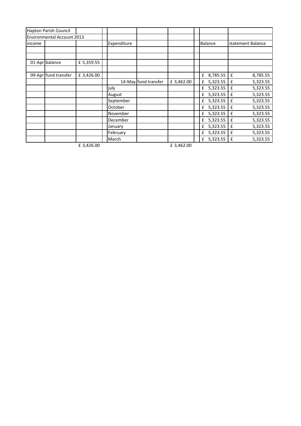|        | Hapton Parish Council      |            |             |                      |            |               |                   |
|--------|----------------------------|------------|-------------|----------------------|------------|---------------|-------------------|
|        | Environmental Account 2013 |            |             |                      |            |               |                   |
| income |                            |            | Expenditure |                      |            | Balance       | statement Balance |
|        |                            |            |             |                      |            |               |                   |
|        |                            |            |             |                      |            |               |                   |
|        | 01-Apr balance             | £ 5,359.55 |             |                      |            |               |                   |
|        |                            |            |             |                      |            |               |                   |
|        | 09-Apr fund transfer       | £ 3,426.00 |             |                      |            | 8,785.55<br>£ | 8,785.55<br>£     |
|        |                            |            |             | 14-May fund transfer | £ 3,462.00 | 5,323.55<br>£ | 5,323.55<br>£     |
|        |                            |            | july        |                      |            | 5,323.55<br>£ | 5,323.55<br>£     |
|        |                            |            | August      |                      |            | 5,323.55<br>£ | 5,323.55<br>£     |
|        |                            |            | September   |                      |            | £ 5,323.55    | 5,323.55<br>£     |
|        |                            |            | October     |                      |            | 5,323.55<br>£ | 5,323.55<br>£     |
|        |                            |            | November    |                      |            | 5,323.55<br>£ | 5,323.55<br>£     |
|        |                            |            | December    |                      |            | 5,323.55<br>£ | 5,323.55<br>£     |
|        |                            |            | January     |                      |            | 5,323.55<br>£ | 5,323.55<br>£     |
|        |                            |            | February    |                      |            | 5,323.55<br>£ | 5,323.55<br>£     |
|        |                            |            | March       |                      |            | 5,323.55<br>£ | 5,323.55<br>£     |
|        |                            | £ 3,426.00 |             |                      | £ 3,462.00 |               |                   |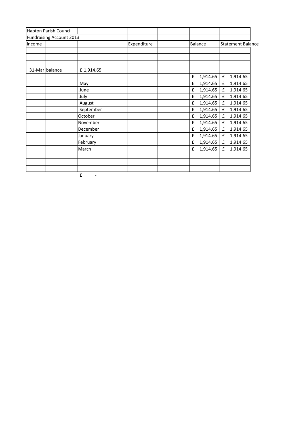|        | Hapton Parish Council           |                               |             |               |                          |
|--------|---------------------------------|-------------------------------|-------------|---------------|--------------------------|
|        | <b>Fundraising Account 2013</b> |                               |             |               |                          |
| income |                                 |                               | Expenditure | Balance       | <b>Statement Balance</b> |
|        |                                 |                               |             |               |                          |
|        |                                 |                               |             |               |                          |
|        |                                 |                               |             |               |                          |
|        | 31-Mar balance                  | £1,914.65                     |             |               |                          |
|        |                                 |                               |             | 1,914.65<br>£ | 1,914.65<br>£            |
|        |                                 | May                           |             | 1,914.65<br>£ | 1,914.65<br>£            |
|        |                                 | June                          |             | 1,914.65<br>£ | 1,914.65<br>£            |
|        |                                 | July                          |             | £<br>1,914.65 | 1,914.65<br>£            |
|        |                                 | August                        |             | 1,914.65<br>£ | 1,914.65<br>£            |
|        |                                 | September                     |             | 1,914.65<br>£ | 1,914.65<br>£            |
|        |                                 | October                       |             | 1,914.65<br>£ | 1,914.65<br>£            |
|        |                                 | November                      |             | 1,914.65<br>£ | 1,914.65<br>£            |
|        |                                 | December                      |             | £<br>1,914.65 | 1,914.65<br>£            |
|        |                                 | January                       |             | 1,914.65<br>£ | 1,914.65<br>£            |
|        |                                 | February                      |             | 1,914.65<br>£ | 1,914.65<br>£            |
|        |                                 | March                         |             | £<br>1,914.65 | £<br>1,914.65            |
|        |                                 |                               |             |               |                          |
|        |                                 |                               |             |               |                          |
|        |                                 |                               |             |               |                          |
|        |                                 | £<br>$\overline{\phantom{a}}$ |             |               |                          |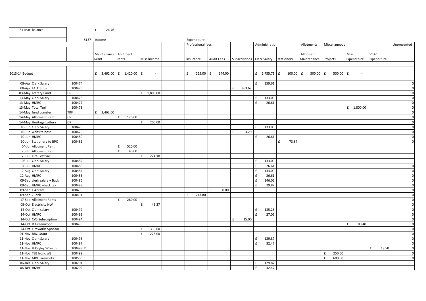|                | 31-Mar balance             |            | £<br>26.76                     |                        |                        |                   |             |             |                                           |            |                                   |                     |                     |                     |                |
|----------------|----------------------------|------------|--------------------------------|------------------------|------------------------|-------------------|-------------|-------------|-------------------------------------------|------------|-----------------------------------|---------------------|---------------------|---------------------|----------------|
|                |                            |            | S137 Income                    |                        |                        | Expenditure       |             |             |                                           |            |                                   |                     |                     |                     |                |
|                |                            |            |                                |                        |                        | Professional fees |             |             | Administration                            |            | Allotments                        | Miscellaneous       |                     |                     | Unpresented    |
|                |                            |            | Maintenance Allotment<br>Grant | Rents                  | Misc Income            | Insurance         | Audit Fees  |             | Subscriptions   Clerk Salary   stationery |            | Allotment<br>Maintenance Projects |                     | Misc<br>Expenditure | S137<br>Expenditure |                |
|                |                            |            |                                |                        |                        |                   |             |             |                                           |            |                                   |                     |                     |                     |                |
|                |                            |            |                                |                        |                        |                   |             |             |                                           |            |                                   |                     |                     |                     |                |
| 2013-14 Budget |                            |            | £ 3,462.00 $f$ 1,420.00        |                        | $\mathbf f$<br>$\sim$  | f<br>225.00       | 144.00<br>f |             | $f = 1,755.71$ f                          | 100.00     | f<br>500.00                       | $500.00$ $E$<br>l £ | $\sim$              |                     |                |
|                | 08-Apr Clerk Salary        | 100474     |                                |                        |                        |                   |             |             | £<br>159.61                               |            |                                   |                     |                     |                     | $\mathbf{0}$   |
|                | 08-Apr LALC Subs           | 100475     |                                |                        |                        |                   |             | f<br>363.62 |                                           |            |                                   |                     |                     |                     | $\mathbf 0$    |
|                | 03-May Lottery Fund        | <b>CR</b>  |                                |                        | £ 1,800.00             |                   |             |             |                                           |            |                                   |                     |                     |                     | $\mathbf 0$    |
|                | 13-May Clerk Salary        | 100476     |                                |                        |                        |                   |             |             | 133.00<br>f                               |            |                                   |                     |                     |                     | $\mathbf 0$    |
| 13-May HMRC    |                            | 100477     |                                |                        |                        |                   |             |             | 26.61<br>£                                |            |                                   |                     |                     |                     | $\overline{0}$ |
|                | 13-May Total Turf          | 100478     |                                |                        |                        |                   |             |             |                                           |            |                                   |                     | $£$ 1,800.00        |                     | $\overline{0}$ |
|                | 14-May fund transfer       | <b>TRF</b> | $£$ 3,462.00                   |                        |                        |                   |             |             |                                           |            |                                   |                     |                     |                     | $\overline{0}$ |
|                | 14-May Allotment Rent      | <b>CR</b>  |                                | f<br>120.00            |                        |                   |             |             |                                           |            |                                   |                     |                     |                     | $\overline{0}$ |
|                | 14-May Heritage Lottery    | <b>CR</b>  |                                |                        | 200.00<br>£            |                   |             |             |                                           |            |                                   |                     |                     |                     | $\overline{0}$ |
|                | 10-Jun Clerk Salary        | 100479     |                                |                        |                        |                   |             |             | 133.00<br>$\mathbf{f}$                    |            |                                   |                     |                     |                     | $\overline{0}$ |
|                | 10-Jun website host        | 100479     |                                |                        |                        |                   |             | £<br>3.29   |                                           |            |                                   |                     |                     |                     | $\overline{0}$ |
|                | 10-Jun HMRC                | 100480     |                                |                        |                        |                   |             |             | 26.61<br>£                                |            |                                   |                     |                     |                     | $\mathbf 0$    |
|                | 10-Jun Stationery to BPC   | 100481     |                                |                        |                        |                   |             |             |                                           | 73.87<br>£ |                                   |                     |                     |                     | $\mathbf 0$    |
|                | 04-Jul Allotment Rent      |            |                                | f<br>520.00            |                        |                   |             |             |                                           |            |                                   |                     |                     |                     |                |
|                | 25-Jul Allotment Rent      |            |                                | f<br>40.00             |                        |                   |             |             |                                           |            |                                   |                     |                     |                     |                |
|                | 25-Jul Kite Festival       |            |                                |                        | 224.10<br>f            |                   |             |             |                                           |            |                                   |                     |                     |                     |                |
|                | 08-Jul Clerk Salary        | 100482     |                                |                        |                        |                   |             |             | 133.00<br>£                               |            |                                   |                     |                     |                     |                |
|                | 08-Jul HMRC                | 100483     |                                |                        |                        |                   |             |             | $\mathbf{f}$<br>26.61                     |            |                                   |                     |                     |                     | $\mathbf 0$    |
|                | 12-Aug Clerk Salary        | 100484     |                                |                        |                        |                   |             |             | £<br>133.00                               |            |                                   |                     |                     |                     | $\mathbf{0}$   |
|                | 12-Aug HMRC                | 100485     |                                |                        |                        |                   |             |             | $\mathbf{f}$<br>26.61                     |            |                                   |                     |                     |                     | $\overline{0}$ |
|                | 09-Sep clerk salary + Back | 100486     |                                |                        |                        |                   |             |             | 146.06<br>£                               |            |                                   |                     |                     |                     | $\mathbf 0$    |
|                | 09-Sep HMRC +back tax      | 100488     |                                |                        |                        |                   |             |             | 29.87<br>$\mathbf{f}$                     |            |                                   |                     |                     |                     | $\overline{0}$ |
|                | 09-Sep L Abram             | 100490     |                                |                        |                        |                   | f<br>60.00  |             |                                           |            |                                   |                     |                     |                     | $\overline{0}$ |
|                | 09-Sep Zurich              | 100491     |                                |                        |                        | 243.80<br>f       |             |             |                                           |            |                                   |                     |                     |                     | $\mathbf 0$    |
|                | 17-Sep Allotment Rents     |            |                                | 260.00<br>$\mathbf{f}$ |                        |                   |             |             |                                           |            |                                   |                     |                     |                     | $\overline{0}$ |
|                | 05-Oct Electricity NW      |            |                                |                        | 46.27<br>£             |                   |             |             |                                           |            |                                   |                     |                     |                     | $\mathbf 0$    |
|                | 14-Oct Clerk salary        | 100492     |                                |                        |                        |                   |             |             | 135.28<br>f                               |            |                                   |                     |                     |                     | $\mathbf 0$    |
|                | 14-Oct HMRC                | 100493     |                                |                        |                        |                   |             |             | £<br>27.06                                |            |                                   |                     |                     |                     | $\overline{0}$ |
|                | 14-Oct CVS Subscription    | 100494     |                                |                        |                        |                   |             | £<br>15.00  |                                           |            |                                   |                     |                     |                     | $\overline{0}$ |
|                | 14-Oct D Greenwood         | 100495     |                                |                        |                        |                   |             |             |                                           |            |                                   |                     | £<br>80.40          |                     | $\mathbf 0$    |
|                | 24-Oct Fireworks Sponsor   |            |                                |                        | 335.00<br>f            |                   |             |             |                                           |            |                                   |                     |                     |                     | $\overline{0}$ |
|                | 01-Nov BBC Grant           |            |                                |                        | $\mathbf{f}$<br>225.00 |                   |             |             |                                           |            |                                   |                     |                     |                     | $\Omega$       |
|                | 11-Nov Clerk Salary        | 100496     |                                |                        |                        |                   |             |             | $\mathbf{f}$<br>129.87                    |            |                                   |                     |                     |                     | $\mathbf 0$    |
|                | 11-Nov HMRC                | 100497     |                                |                        |                        |                   |             |             | $\mathbf{f}$<br>32.47                     |            |                                   |                     |                     |                     | $\mathbf 0$    |
|                | 11-Nov H Kayley Wreath     | 100498 Y   |                                |                        |                        |                   |             |             |                                           |            |                                   |                     |                     | $\pounds$<br>18.50  | $\overline{0}$ |
|                | 11-Nov TSB Ironcraft       | 100499     |                                |                        |                        |                   |             |             |                                           |            |                                   | f<br>250.00         |                     |                     | $\mathbf 0$    |
|                | 11-Nov MDL Fireworks       | 100500     |                                |                        |                        |                   |             |             |                                           |            |                                   | f<br>600.00         |                     |                     | $\Omega$       |
|                | 06-Dec Clerk Salary        | 100201     |                                |                        |                        |                   |             |             | 129.87<br>f                               |            |                                   |                     |                     |                     |                |
|                | 06-Dec HMRC                | 100202     |                                |                        |                        |                   |             |             | 32.47<br>$\mathbf{f}$                     |            |                                   |                     |                     |                     |                |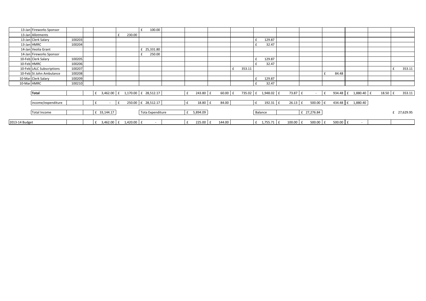|                | 13-Jan Fireworks Sponsor  |        |                                               |              |        |                     | 100.00 |      |              |         |   |        |      |                      |              |                          |   |       |              |                     |  |         |             |
|----------------|---------------------------|--------|-----------------------------------------------|--------------|--------|---------------------|--------|------|--------------|---------|---|--------|------|----------------------|--------------|--------------------------|---|-------|--------------|---------------------|--|---------|-------------|
|                | 13-Jan Allotments         |        |                                               |              | 230.00 |                     |        |      |              |         |   |        |      |                      |              |                          |   |       |              |                     |  |         |             |
|                | 13-Jan Clerk Salary       | 100203 |                                               |              |        |                     |        |      |              |         |   |        |      | 129.87               |              |                          |   |       |              |                     |  |         |             |
|                | 13-Jan HMRC               | 100204 |                                               |              |        |                     |        |      |              |         |   |        |      | 32.47                |              |                          |   |       |              |                     |  |         |             |
|                | 14-Jan Veolia Grant       |        |                                               |              |        | £ 25,331.80         |        |      |              |         |   |        |      |                      |              |                          |   |       |              |                     |  |         |             |
|                | 14-Jan Fireworks Sponsor  |        |                                               |              |        |                     | 250.00 |      |              |         |   |        |      |                      |              |                          |   |       |              |                     |  |         |             |
|                | 10-Feb Clerk Salary       | 100205 |                                               |              |        |                     |        |      |              |         |   |        |      | 129.87               |              |                          |   |       |              |                     |  |         |             |
| 10-Feb HMRC    |                           | 100206 |                                               |              |        |                     |        |      |              |         |   |        |      | 32.47                |              |                          |   |       |              |                     |  |         |             |
|                | 10-Feb LALC Subscriptions | 100207 |                                               |              |        |                     |        |      |              |         | £ | 353.11 |      |                      |              |                          |   |       |              |                     |  |         | 353.11      |
|                | 10-Feb St John Ambulance  | 100208 |                                               |              |        |                     |        |      |              |         |   |        |      |                      |              |                          |   | 84.48 |              |                     |  |         |             |
|                | 10-Mar Clerk Salary       | 100209 |                                               |              |        |                     |        |      |              |         |   |        |      | 129.87               |              |                          |   |       |              |                     |  |         |             |
| 10-Mar HMRC    |                           | 100210 |                                               |              |        |                     |        |      |              |         |   |        |      | 32.47                |              |                          |   |       |              |                     |  |         |             |
|                |                           |        |                                               |              |        |                     |        |      |              |         |   |        |      |                      |              |                          |   |       |              |                     |  |         |             |
|                | <b>Total</b>              |        | $\pm$ 3,462.00 $\pm$ 1,170.00 $\pm$ 28,512.17 |              |        |                     |        | f    | 243.80 £     | 60.00 £ |   |        |      | 735.02 f 1,948.02 f  | 73.87 £      | $\overline{\phantom{a}}$ | f |       |              | 934.48 f 1,880.40 f |  | 18.50 f | 353.11      |
|                |                           |        |                                               |              |        |                     |        |      |              |         |   |        |      |                      |              |                          |   |       |              |                     |  |         |             |
|                | income/expenditure        |        |                                               | $\mathbf{f}$ |        | 250.00 -£ 28,512.17 |        | $-E$ | 18.80 £      | 84.00   |   |        | $-E$ | 192.31 £             | $26.13 \t f$ | $500.00 - f$             |   |       |              | 434.48 -£ 1,880.40  |  |         |             |
|                |                           |        |                                               |              |        |                     |        |      |              |         |   |        |      |                      |              |                          |   |       |              |                     |  |         |             |
|                | <b>Total Income</b>       |        | £ 33,144.17                                   |              |        | Tota Expenditure    |        |      | £ 5,894.09   |         |   |        |      | Balance              |              | £ 27,276.84              |   |       |              |                     |  |         | £ 27,629.95 |
|                |                           |        |                                               |              |        |                     |        |      |              |         |   |        |      |                      |              |                          |   |       |              |                     |  |         |             |
| 2013-14 Budget |                           |        | 3,462.00 £ 1,420.00 £<br>£                    |              |        |                     |        |      | $225.00$ $E$ | 144.00  |   |        |      | $f = 1,755.71$ $f =$ | $100.00$ $f$ | 500.00 £                 |   |       | $500.00$ $E$ |                     |  |         |             |